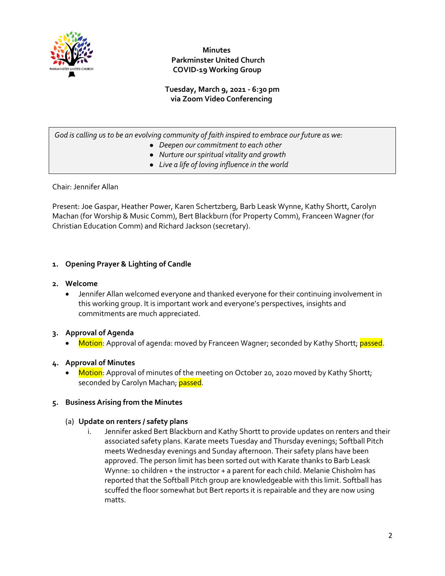

 **Minutes Parkminster United Church COVID-19 Working Group**

**Tuesday, March 9, 2021 - 6:30 pm via Zoom Video Conferencing**

*God is calling us to be an evolving community of faith inspired to embrace our future as we:*

- *Deepen our commitment to each other*
- *Nurture our spiritual vitality and growth*
- *Live a life of loving influence in the world*

Chair: Jennifer Allan

Present: Joe Gaspar, Heather Power, Karen Schertzberg, Barb Leask Wynne, Kathy Shortt, Carolyn Machan (for Worship & Music Comm), Bert Blackburn (for Property Comm), Franceen Wagner (for Christian Education Comm) and Richard Jackson (secretary).

### **1. Opening Prayer & Lighting of Candle**

#### **2. Welcome**

• Jennifer Allan welcomed everyone and thanked everyone for their continuing involvement in this working group. It is important work and everyone's perspectives, insights and commitments are much appreciated.

### **3. Approval of Agenda**

Motion: Approval of agenda: moved by Franceen Wagner; seconded by Kathy Shortt; passed.

### **4. Approval of Minutes**

Motion: Approval of minutes of the meeting on October 20, 2020 moved by Kathy Shortt; seconded by Carolyn Machan; passed.

### **5. Business Arising from the Minutes**

#### (a) **Update on renters / safety plans**

i. Jennifer asked Bert Blackburn and Kathy Shortt to provide updates on renters and their associated safety plans. Karate meets Tuesday and Thursday evenings; Softball Pitch meets Wednesday evenings and Sunday afternoon. Their safety plans have been approved. The person limit has been sorted out with Karate thanks to Barb Leask Wynne: 10 children + the instructor + a parent for each child. Melanie Chisholm has reported that the Softball Pitch group are knowledgeable with this limit. Softball has scuffed the floor somewhat but Bert reports it is repairable and they are now using matts.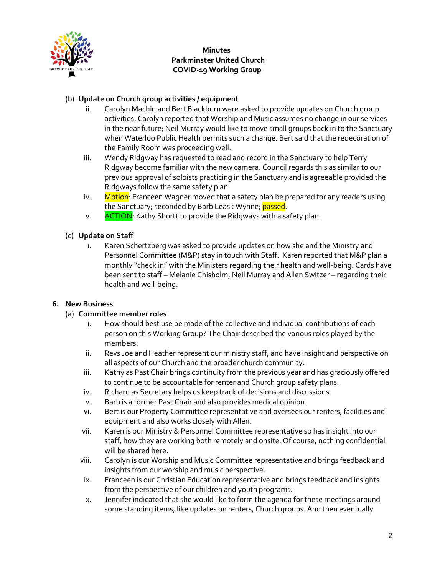

 **Minutes Parkminster United Church COVID-19 Working Group**

### (b) **Update on Church group activities / equipment**

- ii. Carolyn Machin and Bert Blackburn were asked to provide updates on Church group activities. Carolyn reported that Worship and Music assumes no change in our services in the near future; Neil Murray would like to move small groups back in to the Sanctuary when Waterloo Public Health permits such a change. Bert said that the redecoration of the Family Room was proceeding well.
- iii. Wendy Ridgway has requested to read and record in the Sanctuary to help Terry Ridgway become familiar with the new camera. Council regards this as similar to our previous approval of soloists practicing in the Sanctuary and is agreeable provided the Ridgways follow the same safety plan.
- iv. Motion: Franceen Wagner moved that a safety plan be prepared for any readers using the Sanctuary; seconded by Barb Leask Wynne; passed.
- v. ACTION: Kathy Shortt to provide the Ridgways with a safety plan.

### (c) **Update on Staff**

i. Karen Schertzberg was asked to provide updates on how she and the Ministry and Personnel Committee (M&P) stay in touch with Staff. Karen reported that M&P plan a monthly "check in" with the Ministers regarding their health and well-being. Cards have been sent to staff – Melanie Chisholm, Neil Murray and Allen Switzer – regarding their health and well-being.

### **6. New Business**

### (a) **Committee member roles**

- i. How should best use be made of the collective and individual contributions of each person on this Working Group? The Chair described the various roles played by the members:
- ii. Revs Joe and Heather represent our ministry staff, and have insight and perspective on all aspects of our Church and the broader church community.
- iii. Kathy as Past Chair brings continuity from the previous year and has graciously offered to continue to be accountable for renter and Church group safety plans.
- iv. Richard as Secretary helps us keep track of decisions and discussions.
- v. Barb is a former Past Chair and also provides medical opinion.
- vi. Bert is our Property Committee representative and oversees our renters, facilities and equipment and also works closely with Allen.
- vii. Karen is our Ministry & Personnel Committee representative so has insight into our staff, how they are working both remotely and onsite. Of course, nothing confidential will be shared here.
- viii. Carolyn is our Worship and Music Committee representative and brings feedback and insights from our worship and music perspective.
- ix. Franceen is our Christian Education representative and brings feedback and insights from the perspective of our children and youth programs.
- x. Jennifer indicated that she would like to form the agenda for these meetings around some standing items, like updates on renters, Church groups. And then eventually